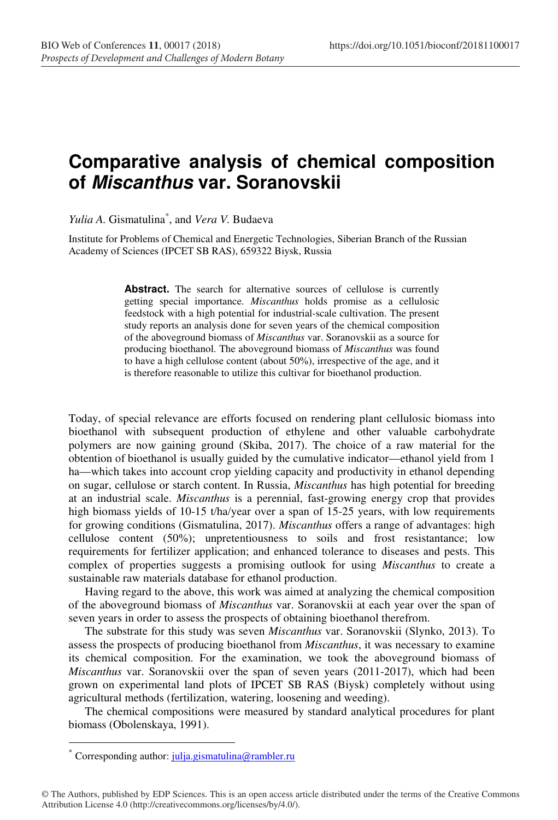## **Comparative analysis of chemical composition of Miscanthus var. Soranovskii**

*Yulia A.* Gismatulina\* , and *Vera V.* Budaeva

Institute for Problems of Chemical and Energetic Technologies, Siberian Branch of the Russian Academy of Sciences (IPCET SB RAS), 659322 Biysk, Russia

> Abstract. The search for alternative sources of cellulose is currently getting special importance. *Miscanthus* holds promise as a cellulosic feedstock with a high potential for industrial-scale cultivation. The present study reports an analysis done for seven years of the chemical composition of the aboveground biomass of *Miscanthus* var. Soranovskii as a source for producing bioethanol. The aboveground biomass of *Miscanthus* was found to have a high cellulose content (about 50%), irrespective of the age, and it is therefore reasonable to utilize this cultivar for bioethanol production.

Today, of special relevance are efforts focused on rendering plant cellulosic biomass into bioethanol with subsequent production of ethylene and other valuable carbohydrate polymers are now gaining ground (Skiba, 2017). The choice of a raw material for the obtention of bioethanol is usually guided by the cumulative indicator—ethanol yield from 1 ha—which takes into account crop yielding capacity and productivity in ethanol depending on sugar, cellulose or starch content. In Russia, *Miscanthus* has high potential for breeding at an industrial scale. *Miscanthus* is a perennial, fast-growing energy crop that provides high biomass yields of 10-15 t/ha/year over a span of 15-25 years, with low requirements for growing conditions (Gismatulina, 2017). *Miscanthus* offers a range of advantages: high cellulose content (50%); unpretentiousness to soils and frost resistantance; low requirements for fertilizer application; and enhanced tolerance to diseases and pests. This complex of properties suggests a promising outlook for using *Miscanthus* to create a sustainable raw materials database for ethanol production.

Having regard to the above, this work was aimed at analyzing the chemical composition of the aboveground biomass of *Miscanthus* var. Soranovskii at each year over the span of seven years in order to assess the prospects of obtaining bioethanol therefrom.

The substrate for this study was seven *Miscanthus* var. Soranovskii (Slynko, 2013). To assess the prospects of producing bioethanol from *Miscanthus*, it was necessary to examine its chemical composition. For the examination, we took the aboveground biomass of *Miscanthus* var. Soranovskii over the span of seven years (2011-2017), which had been grown on experimental land plots of IPCET SB RAS (Biysk) completely without using agricultural methods (fertilization, watering, loosening and weeding).

The chemical compositions were measured by standard analytical procedures for plant biomass (Obolenskaya, 1991).

 $\overline{a}$ 

© The Authors, published by EDP Sciences. This is an open access article distributed under the terms of the Creative Commons Attribution License 4.0 (http://creativecommons.org/licenses/by/4.0/).

<sup>\*</sup> Corresponding author: julja.gismatulina@rambler.ru